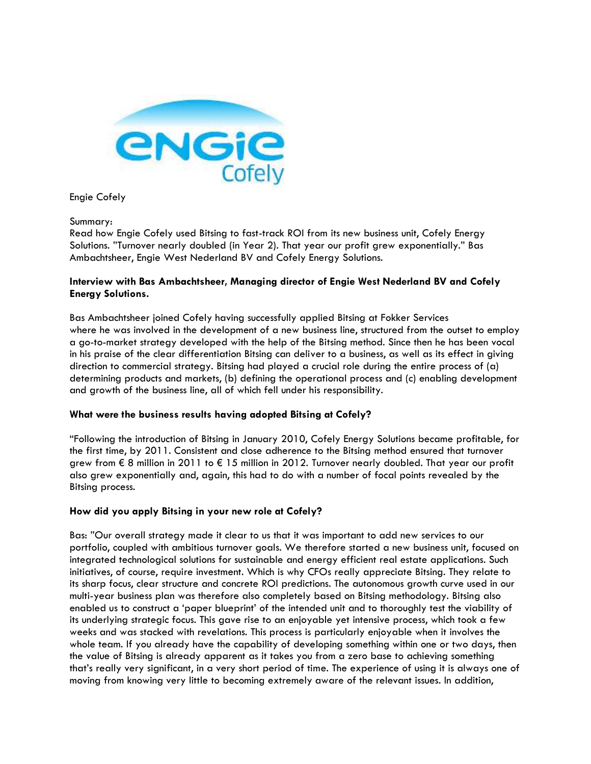

Engie Cofely

Summary:

Read how Engie Cofely used Bitsing to fast-track ROI from its new business unit, Cofely Energy Solutions. "Turnover nearly doubled (in Year 2). That year our profit grew exponentially." Bas Ambachtsheer, Engie West Nederland BV and Cofely Energy Solutions.

# **Interview with Bas Ambachtsheer, Managing director of Engie West Nederland BV and Cofely Energy Solutions.**

Bas Ambachtsheer joined Cofely having successfully applied Bitsing at Fokker Services where he was involved in the development of a new business line, structured from the outset to employ a go-to-market strategy developed with the help of the Bitsing method. Since then he has been vocal in his praise of the clear differentiation Bitsing can deliver to a business, as well as its effect in giving direction to commercial strategy. Bitsing had played a crucial role during the entire process of (a) determining products and markets, (b) defining the operational process and (c) enabling development and growth of the business line, all of which fell under his responsibility.

# **What were the business results having adopted Bitsing at Cofely?**

"Following the introduction of Bitsing in January 2010, Cofely Energy Solutions became profitable, for the first time, by 2011. Consistent and close adherence to the Bitsing method ensured that turnover grew from € 8 million in 2011 to € 15 million in 2012. Turnover nearly doubled. That year our profit also grew exponentially and, again, this had to do with a number of focal points revealed by the Bitsing process.

# **How did you apply Bitsing in your new role at Cofely?**

Bas: "Our overall strategy made it clear to us that it was important to add new services to our portfolio, coupled with ambitious turnover goals. We therefore started a new business unit, focused on integrated technological solutions for sustainable and energy efficient real estate applications. Such initiatives, of course, require investment. Which is why CFOs really appreciate Bitsing. They relate to its sharp focus, clear structure and concrete ROI predictions. The autonomous growth curve used in our multi-year business plan was therefore also completely based on Bitsing methodology. Bitsing also enabled us to construct a 'paper blueprint' of the intended unit and to thoroughly test the viability of its underlying strategic focus. This gave rise to an enjoyable yet intensive process, which took a few weeks and was stacked with revelations. This process is particularly enjoyable when it involves the whole team. If you already have the capability of developing something within one or two days, then the value of Bitsing is already apparent as it takes you from a zero base to achieving something that's really very significant, in a very short period of time. The experience of using it is always one of moving from knowing very little to becoming extremely aware of the relevant issues. In addition,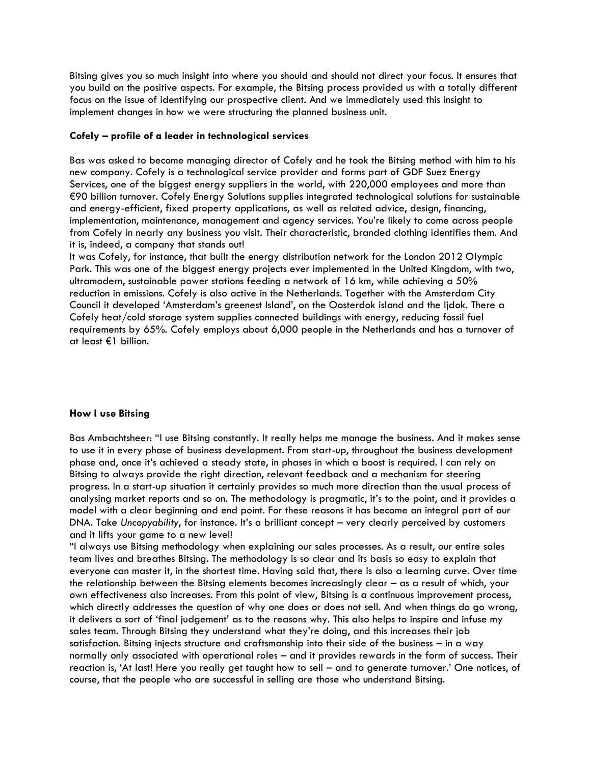Bitsing gives you so much insight into where you should and should not direct your focus. It ensures that you build on the positive aspects. For example, the Bitsing process provided us with a totally different focus on the issue of identifying our prospective client. And we immediately used this insight to implement changes in how we were structuring the planned business unit.

### **Cofely – profile of a leader in technological services**

Bas was asked to become managing director of Cofely and he took the Bitsing method with him to his new company. Cofely is a technological service provider and forms part of GDF Suez Energy Services, one of the biggest energy suppliers in the world, with 220,000 employees and more than €90 billion turnover. Cofely Energy Solutions supplies integrated technological solutions for sustainable and energy-efficient, fixed property applications, as well as related advice, design, financing, implementation, maintenance, management and agency services. You're likely to come across people from Cofely in nearly any business you visit. Their characteristic, branded clothing identifies them. And it is, indeed, a company that stands out!

It was Cofely, for instance, that built the energy distribution network for the London 2012 Olympic Park. This was one of the biggest energy projects ever implemented in the United Kingdom, with two, ultramodern, sustainable power stations feeding a network of 16 km, while achieving a 50% reduction in emissions. Cofely is also active in the Netherlands. Together with the Amsterdam City Council it developed 'Amsterdam's greenest Island', on the Oosterdok island and the Ijdok. There a Cofely heat/cold storage system supplies connected buildings with energy, reducing fossil fuel requirements by 65%. Cofely employs about 6,000 people in the Netherlands and has a turnover of at least €1 billion.

#### **How I use Bitsing**

Bas Ambachtsheer: "I use Bitsing constantly. It really helps me manage the business. And it makes sense to use it in every phase of business development. From start-up, throughout the business development phase and, once it's achieved a steady state, in phases in which a boost is required. I can rely on Bitsing to always provide the right direction, relevant feedback and a mechanism for steering progress. In a start-up situation it certainly provides so much more direction than the usual process of analysing market reports and so on. The methodology is pragmatic, it's to the point, and it provides a model with a clear beginning and end point. For these reasons it has become an integral part of our DNA. Take *Uncopyability*, for instance. It's a brilliant concept – very clearly perceived by customers and it lifts your game to a new level!

"I always use Bitsing methodology when explaining our sales processes. As a result, our entire sales team lives and breathes Bitsing. The methodology is so clear and its basis so easy to explain that everyone can master it, in the shortest time. Having said that, there is also a learning curve. Over time the relationship between the Bitsing elements becomes increasingly clear – as a result of which, your own effectiveness also increases. From this point of view, Bitsing is a continuous improvement process, which directly addresses the question of why one does or does not sell. And when things do go wrong, it delivers a sort of 'final judgement' as to the reasons why. This also helps to inspire and infuse my sales team. Through Bitsing they understand what they're doing, and this increases their job satisfaction. Bitsing injects structure and craftsmanship into their side of the business – in a way normally only associated with operational roles – and it provides rewards in the form of success. Their reaction is, 'At last! Here you really get taught how to sell – and to generate turnover.' One notices, of course, that the people who are successful in selling are those who understand Bitsing.